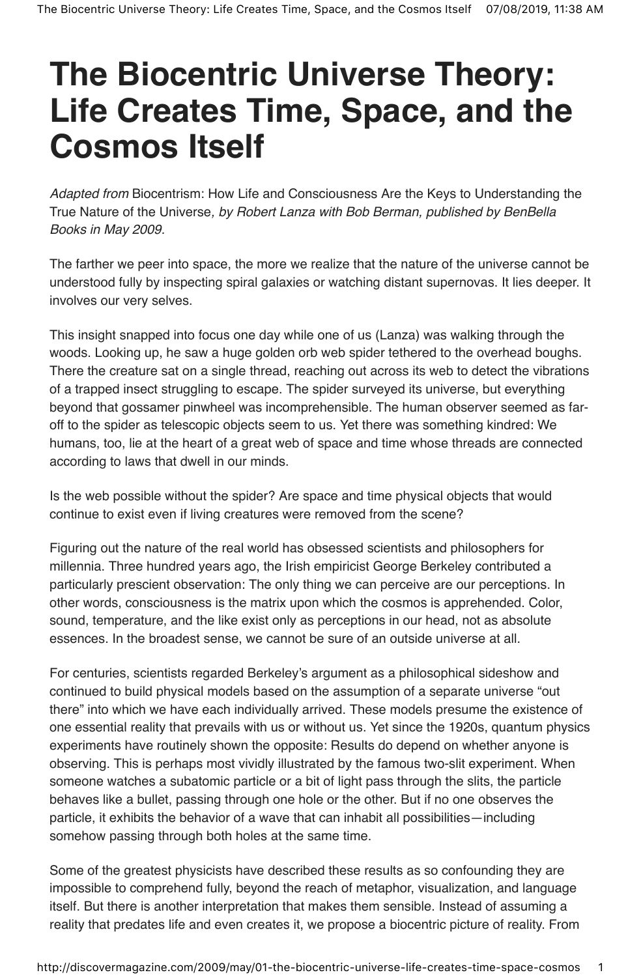# **The Biocentric Universe Theory: Life Creates Time, Space, and the Cosmos Itself**

Adapted from Biocentrism: How Life and Consciousness Are the Keys to Understanding the True Nature of the Universe, by Robert Lanza with Bob Berman, published by BenBella Books in May 2009.

The farther we peer into space, the more we realize that the nature of the universe cannot be understood fully by inspecting spiral galaxies or watching distant supernovas. It lies deeper. It involves our very selves.

This insight snapped into focus one day while one of us (Lanza) was walking through the woods. Looking up, he saw a huge golden orb web spider tethered to the overhead boughs. There the creature sat on a single thread, reaching out across its web to detect the vibrations of a trapped insect struggling to escape. The spider surveyed its universe, but everything beyond that gossamer pinwheel was incomprehensible. The human observer seemed as faroff to the spider as telescopic objects seem to us. Yet there was something kindred: We humans, too, lie at the heart of a great web of space and time whose threads are connected according to laws that dwell in our minds.

Is the web possible without the spider? Are space and time physical objects that would continue to exist even if living creatures were removed from the scene?

Figuring out the nature of the real world has obsessed scientists and philosophers for millennia. Three hundred years ago, the Irish empiricist George Berkeley contributed a particularly prescient observation: The only thing we can perceive are our perceptions. In other words, consciousness is the matrix upon which the cosmos is apprehended. Color, sound, temperature, and the like exist only as perceptions in our head, not as absolute essences. In the broadest sense, we cannot be sure of an outside universe at all.

For centuries, scientists regarded Berkeley's argument as a philosophical sideshow and continued to build physical models based on the assumption of a separate universe "out there" into which we have each individually arrived. These models presume the existence of one essential reality that prevails with us or without us. Yet since the 1920s, quantum physics experiments have routinely shown the opposite: Results do depend on whether anyone is observing. This is perhaps most vividly illustrated by the famous two-slit experiment. When someone watches a subatomic particle or a bit of light pass through the slits, the particle behaves like a bullet, passing through one hole or the other. But if no one observes the particle, it exhibits the behavior of a wave that can inhabit all possibilities—including somehow passing through both holes at the same time.

Some of the greatest physicists have described these results as so confounding they are impossible to comprehend fully, beyond the reach of metaphor, visualization, and language itself. But there is another interpretation that makes them sensible. Instead of assuming a reality that predates life and even creates it, we propose a biocentric picture of reality. From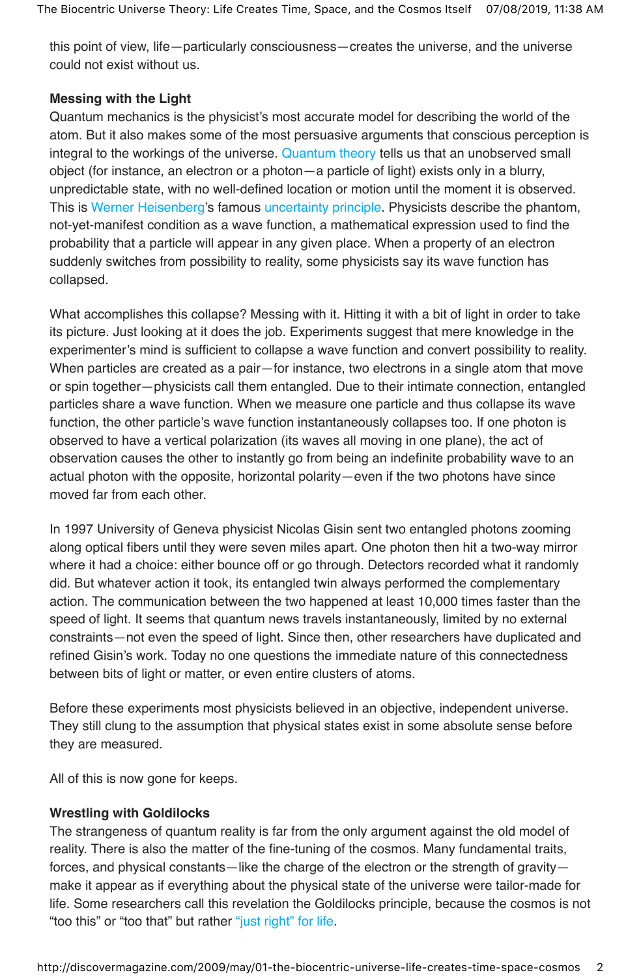this point of view, life—particularly consciousness—creates the universe, and the universe could not exist without us.

## **Messing with the Light**

Quantum mechanics is the physicist's most accurate model for describing the world of the atom. But it also makes some of the most persuasive arguments that conscious perception is integral to the workings of the universe. Quantum theory tells us that an unobserved small object (for instance, an electron or a photon—a particle of light) exists only in a blurry, unpredictable state, with no well-defined location or motion until the moment it is observed. This is Werner Heisenberg's famous uncertainty principle. Physicists describe the phantom, not-yet-manifest condition as a wave function, a mathematical expression used to find the probability that a particle will appear in any given place. When a property of an electron suddenly switches from possibility to reality, some physicists say its wave function has collapsed.

What accomplishes this collapse? Messing with it. Hitting it with a bit of light in order to take its picture. Just looking at it does the job. Experiments suggest that mere knowledge in the experimenter's mind is sufficient to collapse a wave function and convert possibility to reality. When particles are created as a pair—for instance, two electrons in a single atom that move or spin together—physicists call them entangled. Due to their intimate connection, entangled particles share a wave function. When we measure one particle and thus collapse its wave function, the other particle's wave function instantaneously collapses too. If one photon is observed to have a vertical polarization (its waves all moving in one plane), the act of observation causes the other to instantly go from being an indefinite probability wave to an actual photon with the opposite, horizontal polarity—even if the two photons have since moved far from each other.

In 1997 University of Geneva physicist Nicolas Gisin sent two entangled photons zooming along optical fibers until they were seven miles apart. One photon then hit a two-way mirror where it had a choice: either bounce off or go through. Detectors recorded what it randomly did. But whatever action it took, its entangled twin always performed the complementary action. The communication between the two happened at least 10,000 times faster than the speed of light. It seems that quantum news travels instantaneously, limited by no external constraints—not even the speed of light. Since then, other researchers have duplicated and refined Gisin's work. Today no one questions the immediate nature of this connectedness between bits of light or matter, or even entire clusters of atoms.

Before these experiments most physicists believed in an objective, independent universe. They still clung to the assumption that physical states exist in some absolute sense before they are measured.

All of this is now gone for keeps.

## **Wrestling with Goldilocks**

The strangeness of quantum reality is far from the only argument against the old model of reality. There is also the matter of the fine-tuning of the cosmos. Many fundamental traits, forces, and physical constants—like the charge of the electron or the strength of gravity make it appear as if everything about the physical state of the universe were tailor-made for life. Some researchers call this revelation the Goldilocks principle, because the cosmos is not "too this" or "too that" but rather "just right" for life.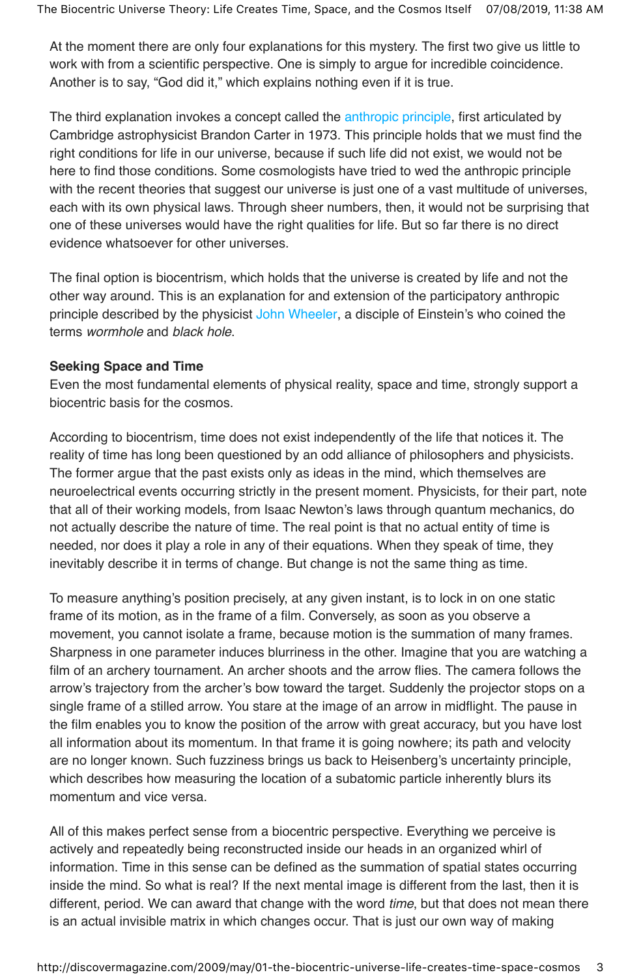At the moment there are only four explanations for this mystery. The first two give us little to work with from a scientific perspective. One is simply to argue for incredible coincidence. Another is to say, "God did it," which explains nothing even if it is true.

The third explanation invokes a concept called the anthropic principle, first articulated by Cambridge astrophysicist Brandon Carter in 1973. This principle holds that we must find the right conditions for life in our universe, because if such life did not exist, we would not be here to find those conditions. Some cosmologists have tried to wed the anthropic principle with the recent theories that suggest our universe is just one of a vast multitude of universes, each with its own physical laws. Through sheer numbers, then, it would not be surprising that one of these universes would have the right qualities for life. But so far there is no direct evidence whatsoever for other universes.

The final option is biocentrism, which holds that the universe is created by life and not the other way around. This is an explanation for and extension of the participatory anthropic principle described by the physicist John Wheeler, a disciple of Einstein's who coined the terms wormhole and black hole.

#### **Seeking Space and Time**

Even the most fundamental elements of physical reality, space and time, strongly support a biocentric basis for the cosmos.

According to biocentrism, time does not exist independently of the life that notices it. The reality of time has long been questioned by an odd alliance of philosophers and physicists. The former argue that the past exists only as ideas in the mind, which themselves are neuroelectrical events occurring strictly in the present moment. Physicists, for their part, note that all of their working models, from Isaac Newton's laws through quantum mechanics, do not actually describe the nature of time. The real point is that no actual entity of time is needed, nor does it play a role in any of their equations. When they speak of time, they inevitably describe it in terms of change. But change is not the same thing as time.

To measure anything's position precisely, at any given instant, is to lock in on one static frame of its motion, as in the frame of a film. Conversely, as soon as you observe a movement, you cannot isolate a frame, because motion is the summation of many frames. Sharpness in one parameter induces blurriness in the other. Imagine that you are watching a film of an archery tournament. An archer shoots and the arrow flies. The camera follows the arrow's trajectory from the archer's bow toward the target. Suddenly the projector stops on a single frame of a stilled arrow. You stare at the image of an arrow in midflight. The pause in the film enables you to know the position of the arrow with great accuracy, but you have lost all information about its momentum. In that frame it is going nowhere; its path and velocity are no longer known. Such fuzziness brings us back to Heisenberg's uncertainty principle, which describes how measuring the location of a subatomic particle inherently blurs its momentum and vice versa.

All of this makes perfect sense from a biocentric perspective. Everything we perceive is actively and repeatedly being reconstructed inside our heads in an organized whirl of information. Time in this sense can be defined as the summation of spatial states occurring inside the mind. So what is real? If the next mental image is different from the last, then it is different, period. We can award that change with the word time, but that does not mean there is an actual invisible matrix in which changes occur. That is just our own way of making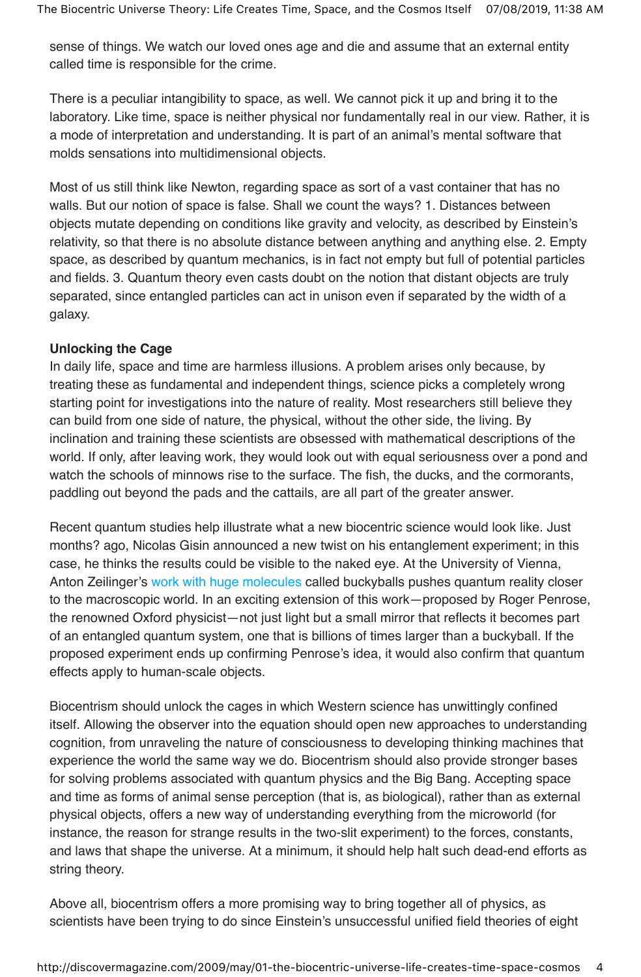sense of things. We watch our loved ones age and die and assume that an external entity called time is responsible for the crime.

There is a peculiar intangibility to space, as well. We cannot pick it up and bring it to the laboratory. Like time, space is neither physical nor fundamentally real in our view. Rather, it is a mode of interpretation and understanding. It is part of an animal's mental software that molds sensations into multidimensional objects.

Most of us still think like Newton, regarding space as sort of a vast container that has no walls. But our notion of space is false. Shall we count the ways? 1. Distances between objects mutate depending on conditions like gravity and velocity, as described by Einstein's relativity, so that there is no absolute distance between anything and anything else. 2. Empty space, as described by quantum mechanics, is in fact not empty but full of potential particles and fields. 3. Quantum theory even casts doubt on the notion that distant objects are truly separated, since entangled particles can act in unison even if separated by the width of a galaxy.

#### **Unlocking the Cage**

In daily life, space and time are harmless illusions. A problem arises only because, by treating these as fundamental and independent things, science picks a completely wrong starting point for investigations into the nature of reality. Most researchers still believe they can build from one side of nature, the physical, without the other side, the living. By inclination and training these scientists are obsessed with mathematical descriptions of the world. If only, after leaving work, they would look out with equal seriousness over a pond and watch the schools of minnows rise to the surface. The fish, the ducks, and the cormorants, paddling out beyond the pads and the cattails, are all part of the greater answer.

Recent quantum studies help illustrate what a new biocentric science would look like. Just months? ago, Nicolas Gisin announced a new twist on his entanglement experiment; in this case, he thinks the results could be visible to the naked eye. At the University of Vienna, Anton Zeilinger's work with huge molecules called buckyballs pushes quantum reality closer to the macroscopic world. In an exciting extension of this work—proposed by Roger Penrose, the renowned Oxford physicist—not just light but a small mirror that reflects it becomes part of an entangled quantum system, one that is billions of times larger than a buckyball. If the proposed experiment ends up confirming Penrose's idea, it would also confirm that quantum effects apply to human-scale objects.

Biocentrism should unlock the cages in which Western science has unwittingly confined itself. Allowing the observer into the equation should open new approaches to understanding cognition, from unraveling the nature of consciousness to developing thinking machines that experience the world the same way we do. Biocentrism should also provide stronger bases for solving problems associated with quantum physics and the Big Bang. Accepting space and time as forms of animal sense perception (that is, as biological), rather than as external physical objects, offers a new way of understanding everything from the microworld (for instance, the reason for strange results in the two-slit experiment) to the forces, constants, and laws that shape the universe. At a minimum, it should help halt such dead-end efforts as string theory.

Above all, biocentrism offers a more promising way to bring together all of physics, as scientists have been trying to do since Einstein's unsuccessful unified field theories of eight